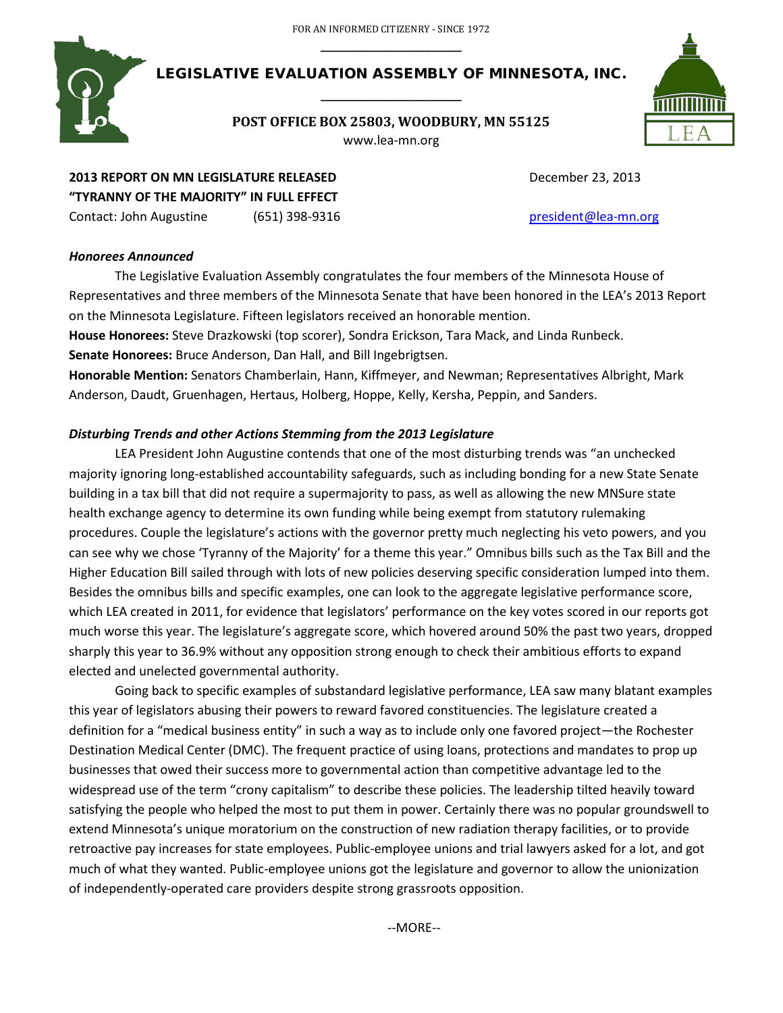

LEGISLATIVE EVALUATION ASSEMBLY OF MINNESOTA, INC. **\_\_\_\_\_\_\_\_\_\_\_\_\_\_\_\_\_\_\_\_\_\_\_\_\_\_\_**

> **POST OFFICE BOX 25803, WOODBURY, MN 55125** www.lea-mn.org



# **2013 REPORT ON MN LEGISLATURE RELEASED** December 23, 2013 **"TYRANNY OF THE MAJORITY" IN FULL EFFECT**

Contact: John Augustine (651) 398-9316 [president@lea-mn.org](mailto:president@lea-mn.org)

## *Honorees Announced*

The Legislative Evaluation Assembly congratulates the four members of the Minnesota House of Representatives and three members of the Minnesota Senate that have been honored in the LEA's 2013 Report on the Minnesota Legislature. Fifteen legislators received an honorable mention.

**House Honorees:** Steve Drazkowski (top scorer), Sondra Erickson, Tara Mack, and Linda Runbeck. **Senate Honorees:** Bruce Anderson, Dan Hall, and Bill Ingebrigtsen.

**Honorable Mention:** Senators Chamberlain, Hann, Kiffmeyer, and Newman; Representatives Albright, Mark Anderson, Daudt, Gruenhagen, Hertaus, Holberg, Hoppe, Kelly, Kersha, Peppin, and Sanders.

## *Disturbing Trends and other Actions Stemming from the 2013 Legislature*

LEA President John Augustine contends that one of the most disturbing trends was "an unchecked majority ignoring long-established accountability safeguards, such as including bonding for a new State Senate building in a tax bill that did not require a supermajority to pass, as well as allowing the new MNSure state health exchange agency to determine its own funding while being exempt from statutory rulemaking procedures. Couple the legislature's actions with the governor pretty much neglecting his veto powers, and you can see why we chose 'Tyranny of the Majority' for a theme this year." Omnibus bills such as the Tax Bill and the Higher Education Bill sailed through with lots of new policies deserving specific consideration lumped into them. Besides the omnibus bills and specific examples, one can look to the aggregate legislative performance score, which LEA created in 2011, for evidence that legislators' performance on the key votes scored in our reports got much worse this year. The legislature's aggregate score, which hovered around 50% the past two years, dropped sharply this year to 36.9% without any opposition strong enough to check their ambitious efforts to expand elected and unelected governmental authority.

Going back to specific examples of substandard legislative performance, LEA saw many blatant examples this year of legislators abusing their powers to reward favored constituencies. The legislature created a definition for a "medical business entity" in such a way as to include only one favored project—the Rochester Destination Medical Center (DMC). The frequent practice of using loans, protections and mandates to prop up businesses that owed their success more to governmental action than competitive advantage led to the widespread use of the term "crony capitalism" to describe these policies. The leadership tilted heavily toward satisfying the people who helped the most to put them in power. Certainly there was no popular groundswell to extend Minnesota's unique moratorium on the construction of new radiation therapy facilities, or to provide retroactive pay increases for state employees. Public-employee unions and trial lawyers asked for a lot, and got much of what they wanted. Public-employee unions got the legislature and governor to allow the unionization of independently-operated care providers despite strong grassroots opposition.